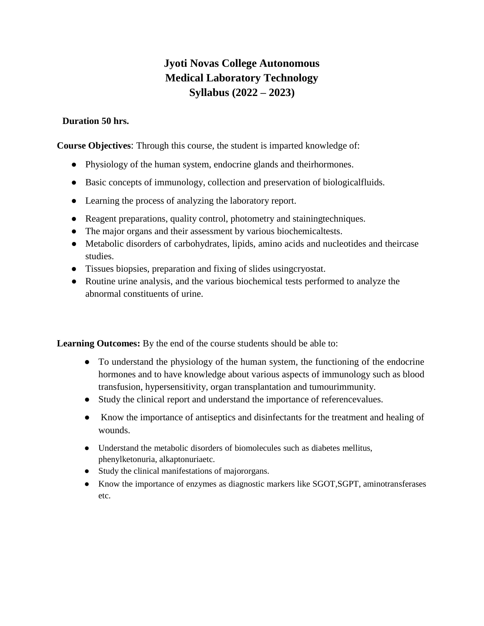# **Jyoti Novas College Autonomous Medical Laboratory Technology Syllabus (2022 – 2023)**

## **Duration 50 hrs.**

**Course Objectives**: Through this course, the student is imparted knowledge of:

- Physiology of the human system, endocrine glands and theirhormones.
- Basic concepts of immunology, collection and preservation of biologicalfluids.
- Learning the process of analyzing the laboratory report.
- Reagent preparations, quality control, photometry and stainingtechniques.
- The major organs and their assessment by various biochemicaltests.
- Metabolic disorders of carbohydrates, lipids, amino acids and nucleotides and theircase studies.
- Tissues biopsies, preparation and fixing of slides usingcryostat.
- Routine urine analysis, and the various biochemical tests performed to analyze the abnormal constituents of urine.

Learning Outcomes: By the end of the course students should be able to:

- To understand the physiology of the human system, the functioning of the endocrine hormones and to have knowledge about various aspects of immunology such as blood transfusion, hypersensitivity, organ transplantation and tumourimmunity.
- Study the clinical report and understand the importance of referencevalues.
- Know the importance of antiseptics and disinfectants for the treatment and healing of wounds.
- Understand the metabolic disorders of biomolecules such as diabetes mellitus, phenylketonuria, alkaptonuriaetc.
- Study the clinical manifestations of majororgans.
- Know the importance of enzymes as diagnostic markers like SGOT,SGPT, aminotransferases etc.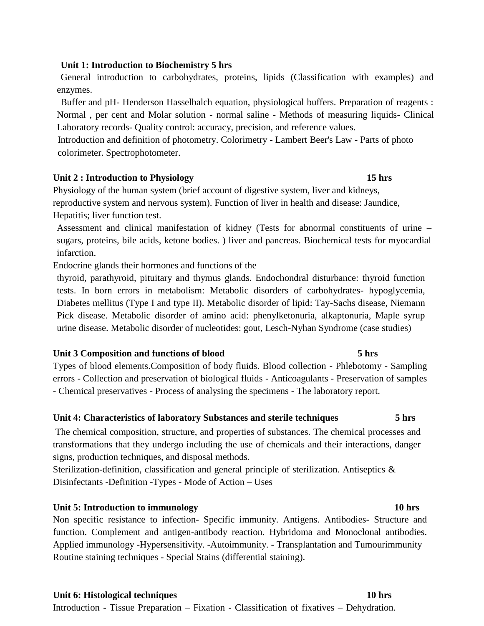## **Unit 1: Introduction to Biochemistry 5 hrs**

General introduction to carbohydrates, proteins, lipids (Classification with examples) and enzymes.

Buffer and pH- Henderson Hasselbalch equation, physiological buffers. Preparation of reagents : Normal , per cent and Molar solution - normal saline - Methods of measuring liquids- Clinical Laboratory records- Quality control: accuracy, precision, and reference values.

 Introduction and definition of photometry. Colorimetry - Lambert Beer's Law - Parts of photo colorimeter. Spectrophotometer.

### **Unit 2 : Introduction to Physiology 15 hrs**

Physiology of the human system (brief account of digestive system, liver and kidneys, reproductive system and nervous system). Function of liver in health and disease: Jaundice, Hepatitis; liver function test.

Assessment and clinical manifestation of kidney (Tests for abnormal constituents of urine – sugars, proteins, bile acids, ketone bodies. ) liver and pancreas. Biochemical tests for myocardial infarction.

Endocrine glands their hormones and functions of the

thyroid, parathyroid, pituitary and thymus glands. Endochondral disturbance: thyroid function tests. In born errors in metabolism: Metabolic disorders of carbohydrates- hypoglycemia, Diabetes mellitus (Type I and type II). Metabolic disorder of lipid: Tay-Sachs disease, Niemann Pick disease. Metabolic disorder of amino acid: phenylketonuria, alkaptonuria, Maple syrup urine disease. Metabolic disorder of nucleotides: gout, Lesch-Nyhan Syndrome (case studies)

### **Unit 3 Composition and functions of blood 5 hrs**

Types of blood elements.Composition of body fluids. Blood collection - Phlebotomy - Sampling errors - Collection and preservation of biological fluids - Anticoagulants - Preservation of samples - Chemical preservatives - Process of analysing the specimens - The laboratory report.

## **Unit 4: Characteristics of laboratory Substances and sterile techniques 5 hrs**

The chemical composition, structure, and properties of substances. The chemical processes and transformations that they undergo including the use of chemicals and their interactions, danger signs, production techniques, and disposal methods.

Sterilization-definition, classification and general principle of sterilization. Antiseptics & Disinfectants -Definition -Types - Mode of Action – Uses

## **Unit 5: Introduction to immunology 10 hrs**

Non specific resistance to infection- Specific immunity. Antigens. Antibodies- Structure and function. Complement and antigen-antibody reaction. Hybridoma and Monoclonal antibodies. Applied immunology -Hypersensitivity. -Autoimmunity. - Transplantation and Tumourimmunity Routine staining techniques - Special Stains (differential staining).

## **Unit 6: Histological techniques 10 hrs** Introduction - Tissue Preparation – Fixation - Classification of fixatives – Dehydration.